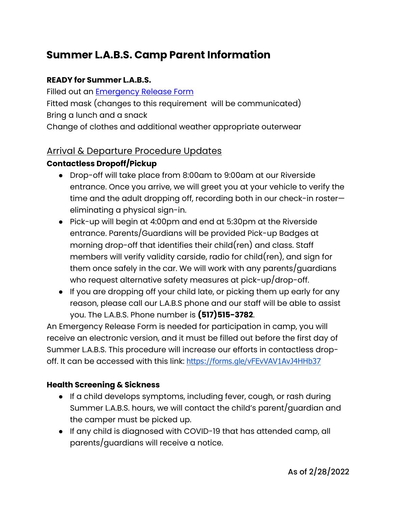# **Summer L.A.B.S. Camp Parent Information**

#### **READY for Summer L.A.B.S.**

Filled out an Emergency Release Form Fitted mask (changes to this requirement will be communicated) Bring a lunch and a snack

Change of clothes and additional weather appropriate outerwear

## Arrival & Departure Procedure Updates

## **Contactless Dropoff/Pickup**

- Drop-off will take place from 8:00am to 9:00am at our Riverside entrance. Once you arrive, we will greet you at your vehicle to verify the time and the adult dropping off, recording both in our check-in roster eliminating a physical sign-in.
- Pick-up will begin at 4:00pm and end at 5:30pm at the Riverside entrance. Parents/Guardians will be provided Pick-up Badges at morning drop-off that identifies their child(ren) and class. Staff members will verify validity carside, radio for child(ren), and sign for them once safely in the car. We will work with any parents/guardians who request alternative safety measures at pick-up/drop-off.
- If you are dropping off your child late, or picking them up early for any reason, please call our L.A.B.S phone and our staff will be able to assist you. The L.A.B.S. Phone number is **(517)515-3782**.

An Emergency Release Form is needed for participation in camp, you will receive an electronic version, and it must be filled out before the first day of Summer L.A.B.S. This procedure will increase our efforts in contactless dropoff. It can be accessed with this link: https://forms.gle/vFEvVAV1AvJ4HHb37

#### **Health Screening & Sickness**

- If a child develops symptoms, including fever, cough, or rash during Summer L.A.B.S. hours, we will contact the child's parent/guardian and the camper must be picked up.
- If any child is diagnosed with COVID-19 that has attended camp, all parents/guardians will receive a notice.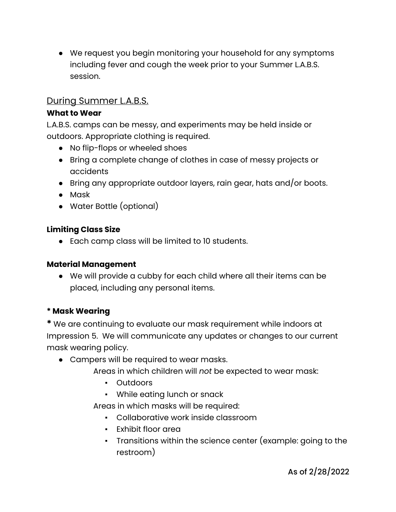● We request you begin monitoring your household for any symptoms including fever and cough the week prior to your Summer L.A.B.S. session.

# During Summer L.A.B.S.

#### **What to Wear**

L.A.B.S. camps can be messy, and experiments may be held inside or outdoors. Appropriate clothing is required.

- No flip-flops or wheeled shoes
- Bring a complete change of clothes in case of messy projects or accidents
- Bring any appropriate outdoor layers, rain gear, hats and/or boots.
- Mask
- Water Bottle (optional)

#### **Limiting Class Size**

● Each camp class will be limited to 10 students.

#### **Material Management**

● We will provide a cubby for each child where all their items can be placed, including any personal items.

#### **\* Mask Wearing**

**\*** We are continuing to evaluate our mask requirement while indoors at Impression 5. We will communicate any updates or changes to our current mask wearing policy.

- Campers will be required to wear masks.
	- Areas in which children will *not* be expected to wear mask:
		- Outdoors
		- While eating lunch or snack

Areas in which masks will be required:

- Collaborative work inside classroom
- Exhibit floor area
- Transitions within the science center (example: going to the restroom)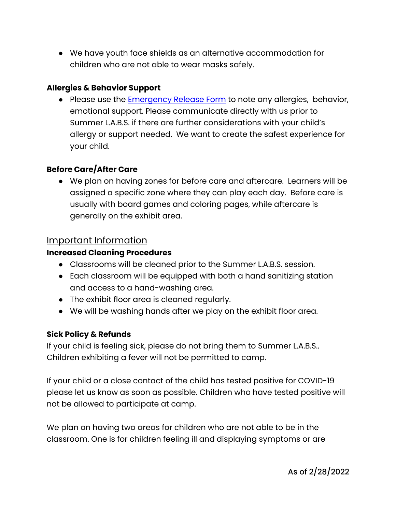● We have youth face shields as an alternative accommodation for children who are not able to wear masks safely.

#### **Allergies & Behavior Support**

● Please use the Emergency Release Form to note any allergies, behavior, emotional support. Please communicate directly with us prior to Summer L.A.B.S. if there are further considerations with your child's allergy or support needed. We want to create the safest experience for your child.

#### **Before Care/After Care**

● We plan on having zones for before care and aftercare. Learners will be assigned a specific zone where they can play each day. Before care is usually with board games and coloring pages, while aftercare is generally on the exhibit area.

#### Important Information

#### **Increased Cleaning Procedures**

- Classrooms will be cleaned prior to the Summer L.A.B.S. session.
- Each classroom will be equipped with both a hand sanitizing station and access to a hand-washing area.
- The exhibit floor area is cleaned regularly.
- We will be washing hands after we play on the exhibit floor area.

#### **Sick Policy & Refunds**

If your child is feeling sick, please do not bring them to Summer L.A.B.S.. Children exhibiting a fever will not be permitted to camp.

If your child or a close contact of the child has tested positive for COVID-19 please let us know as soon as possible. Children who have tested positive will not be allowed to participate at camp.

We plan on having two areas for children who are not able to be in the classroom. One is for children feeling ill and displaying symptoms or are